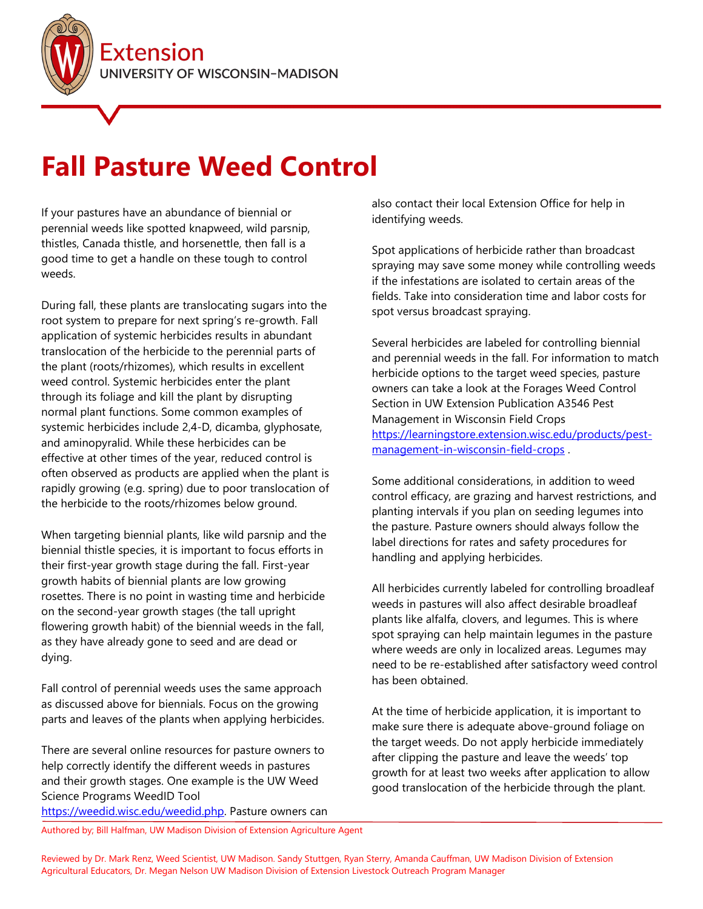

## **Fall Pasture Weed Control**

If your pastures have an abundance of biennial or perennial weeds like spotted knapweed, wild parsnip, thistles, Canada thistle, and horsenettle, then fall is a good time to get a handle on these tough to control weeds.

During fall, these plants are translocating sugars into the root system to prepare for next spring's re-growth. Fall application of systemic herbicides results in abundant translocation of the herbicide to the perennial parts of the plant (roots/rhizomes), which results in excellent weed control. Systemic herbicides enter the plant through its foliage and kill the plant by disrupting normal plant functions. Some common examples of systemic herbicides include 2,4-D, dicamba, glyphosate, and aminopyralid. While these herbicides can be effective at other times of the year, reduced control is often observed as products are applied when the plant is rapidly growing (e.g. spring) due to poor translocation of the herbicide to the roots/rhizomes below ground.

When targeting biennial plants, like wild parsnip and the biennial thistle species, it is important to focus efforts in their first-year growth stage during the fall. First-year growth habits of biennial plants are low growing rosettes. There is no point in wasting time and herbicide on the second-year growth stages (the tall upright flowering growth habit) of the biennial weeds in the fall, as they have already gone to seed and are dead or dying.

Fall control of perennial weeds uses the same approach as discussed above for biennials. Focus on the growing parts and leaves of the plants when applying herbicides.

There are several online resources for pasture owners to help correctly identify the different weeds in pastures and their growth stages. One example is the UW Weed Science Programs WeedID Tool

[https://weedid.wisc.edu/weedid.php.](https://weedid.wisc.edu/weedid.php) Pasture owners can

also contact their local Extension Office for help in identifying weeds.

Spot applications of herbicide rather than broadcast spraying may save some money while controlling weeds if the infestations are isolated to certain areas of the fields. Take into consideration time and labor costs for spot versus broadcast spraying.

Several herbicides are labeled for controlling biennial and perennial weeds in the fall. For information to match herbicide options to the target weed species, pasture owners can take a look at the Forages Weed Control Section in UW Extension Publication A3546 Pest Management in Wisconsin Field Crops [https://learningstore.extension.wisc.edu/products/pest](https://learningstore.extension.wisc.edu/products/pest-management-in-wisconsin-field-crops)[management-in-wisconsin-field-crops](https://learningstore.extension.wisc.edu/products/pest-management-in-wisconsin-field-crops) .

Some additional considerations, in addition to weed control efficacy, are grazing and harvest restrictions, and planting intervals if you plan on seeding legumes into the pasture. Pasture owners should always follow the label directions for rates and safety procedures for handling and applying herbicides.

All herbicides currently labeled for controlling broadleaf weeds in pastures will also affect desirable broadleaf plants like alfalfa, clovers, and legumes. This is where spot spraying can help maintain legumes in the pasture where weeds are only in localized areas. Legumes may need to be re-established after satisfactory weed control has been obtained.

At the time of herbicide application, it is important to make sure there is adequate above-ground foliage on the target weeds. Do not apply herbicide immediately after clipping the pasture and leave the weeds' top growth for at least two weeks after application to allow good translocation of the herbicide through the plant.

Authored by; Bill Halfman, UW Madison Division of Extension Agriculture Agent

Reviewed by Dr. Mark Renz, Weed Scientist, UW Madison. Sandy Stuttgen, Ryan Sterry, Amanda Cauffman, UW Madison Division of Extension Agricultural Educators, Dr. Megan Nelson UW Madison Division of Extension Livestock Outreach Program Manager